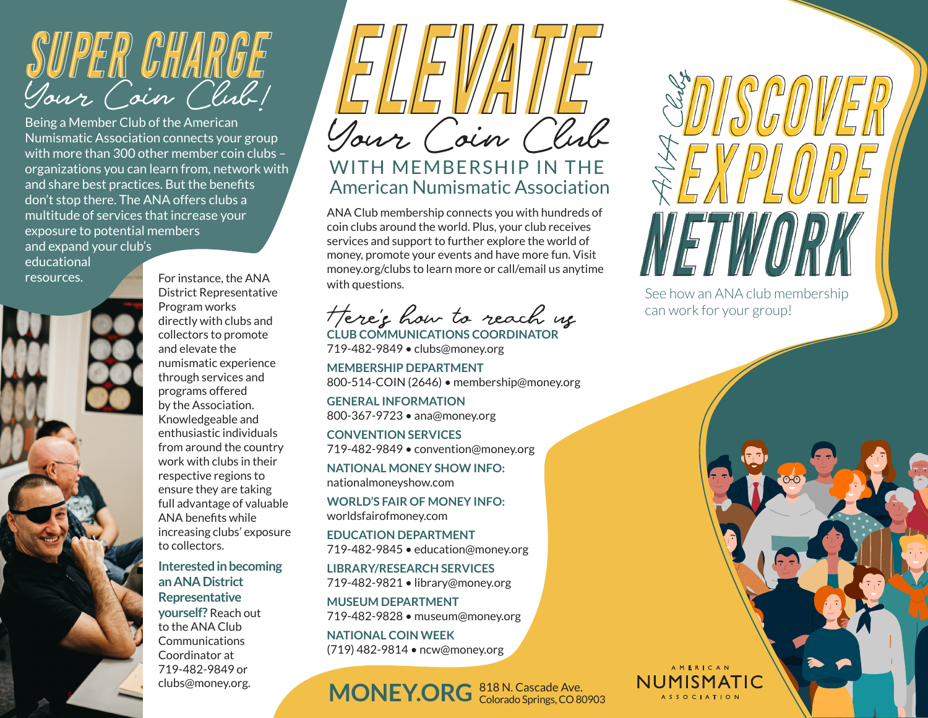

Being a Member Club of the American Numismatic Association connects your group with more than 300 other member coin clubs – organizations you can learn from, network with and share best practices. But the benefits don't stop there. The ANA offers clubs a multitude of services that increase your exposure to potential members and expand your club's

educational resources.



For instance, the ANA District Representative Program works directly with clubs and collectors to promote and elevate the numismatic experience through services and programs offered by the Association. Knowledgeable and enthusiastic individuals from around the country work with clubs in their respective regions to ensure they are taking full advantage of valuable ANA benefits while increasing clubs' exposure to collectors.

**Interested in becoming an ANA District Representative yourself?** Reach out to the ANA Club **Communications** Coordinator at 719-482-9849 or clubs@money.org.



## WITH MEMBERSHIP IN THE American Numismatic Association

ANA Club membership connects you with hundreds of coin clubs around the world. Plus, your club receives services and support to further explore the world of money, promote your events and have more fun. Visit money.org/clubs to learn more or call/email us anytime with questions.

Here's how to reach us **CLUB COMMUNICATIONS COORDINATOR**

719-482-9849 • clubs@money.org

**MEMBERSHIP DEPARTMENT** 800-514-COIN (2646) • membership@money.org

**GENERAL INFORMATION** 800-367-9723 • ana@money.org

**CONVENTION SERVICES** 719-482-9849 • convention@money.org

**NATIONAL MONEY SHOW INFO:**  nationalmoneyshow.com

**WORLD'S FAIR OF MONEY INFO:**  worldsfairofmoney.com

**EDUCATION DEPARTMENT** 719-482-9845 • education@money.org

**LIBRARY/RESEARCH SERVICES** 719-482-9821 • library@money.org

**MUSEUM DEPARTMENT** 719-482-9828 • museum@money.org

**NATIONAL COIN WEEK** (719) 482-9814 • ncw@money.org

MONEY.ORG<sup>818 N. Cascade Ave.</sup>

See how an ANA club membership can work for your group!

NUMISMATIC **ASSOCIATION**